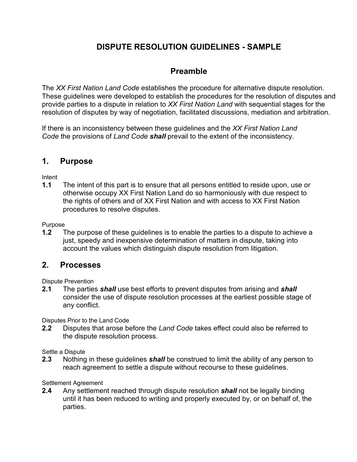# **DISPUTE RESOLUTION GUIDELINES - SAMPLE**

## **Preamble**

The *XX First Nation Land Code* establishes the procedure for alternative dispute resolution. These guidelines were developed to establish the procedures for the resolution of disputes and provide parties to a dispute in relation to *XX First Nation Land* with sequential stages for the resolution of disputes by way of negotiation, facilitated discussions, mediation and arbitration.

If there is an inconsistency between these guidelines and the *XX First Nation Land Code* the provisions of *Land Code shall* prevail to the extent of the inconsistency.

### **1. Purpose**

Intent

**1.1** The intent of this part is to ensure that all persons entitled to reside upon, use or otherwise occupy XX First Nation Land do so harmoniously with due respect to the rights of others and of XX First Nation and with access to XX First Nation procedures to resolve disputes.

Purpose

**1.2** The purpose of these guidelines is to enable the parties to a dispute to achieve a just, speedy and inexpensive determination of matters in dispute, taking into account the values which distinguish dispute resolution from litigation.

### **2. Processes**

Dispute Prevention

**2.1** The parties *shall* use best efforts to prevent disputes from arising and *shall* consider the use of dispute resolution processes at the earliest possible stage of any conflict.

Disputes Prior to the Land Code

**2.2** Disputes that arose before the *Land Code* takes effect could also be referred to the dispute resolution process.

Settle a Dispute

**2.3** Nothing in these guidelines *shall* be construed to limit the ability of any person to reach agreement to settle a dispute without recourse to these guidelines.

Settlement Agreement

**2.4** Any settlement reached through dispute resolution *shall* not be legally binding until it has been reduced to writing and properly executed by, or on behalf of, the parties.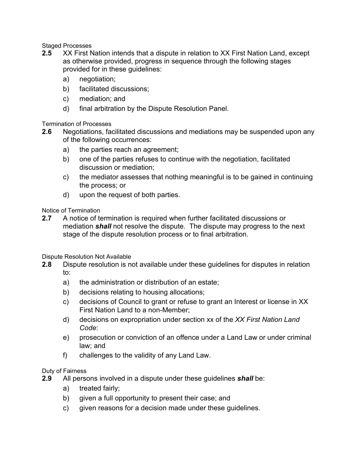Staged Processes

- **2.5** XX First Nation intends that a dispute in relation to XX First Nation Land, except as otherwise provided, progress in sequence through the following stages provided for in these guidelines:
	- a) negotiation;
	- b) facilitated discussions;
	- c) mediation; and
	- d) final arbitration by the Dispute Resolution Panel.

Termination of Processes

- **2.6** Negotiations, facilitated discussions and mediations may be suspended upon any of the following occurrences:
	- a) the parties reach an agreement;
	- b) one of the parties refuses to continue with the negotiation, facilitated discussion or mediation;
	- c) the mediator assesses that nothing meaningful is to be gained in continuing the process; or
	- d) upon the request of both parties.

Notice of Termination

**2.7** A notice of termination is required when further facilitated discussions or mediation *shall* not resolve the dispute. The dispute may progress to the next stage of the dispute resolution process or to final arbitration.

Dispute Resolution Not Available

- **2.8** Dispute resolution is not available under these guidelines for disputes in relation to:
	- a) the administration or distribution of an estate;
	- b) decisions relating to housing allocations;
	- c) decisions of Council to grant or refuse to grant an Interest or license in XX First Nation Land to a non-Member;
	- d) decisions on expropriation under section xx of the *XX First Nation Land Code*:
	- e) prosecution or conviction of an offence under a Land Law or under criminal law; and
	- f) challenges to the validity of any Land Law.

Duty of Fairness

- **2.9** All persons involved in a dispute under these guidelines *shall* be:
	- a) treated fairly;
	- b) given a full opportunity to present their case; and
	- c) given reasons for a decision made under these guidelines.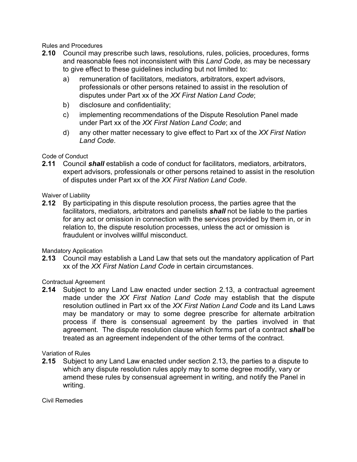Rules and Procedures

- **2.10** Council may prescribe such laws, resolutions, rules, policies, procedures, forms and reasonable fees not inconsistent with this *Land Code*, as may be necessary to give effect to these guidelines including but not limited to:
	- a) remuneration of facilitators, mediators, arbitrators, expert advisors, professionals or other persons retained to assist in the resolution of disputes under Part xx of the *XX First Nation Land Code*;
	- b) disclosure and confidentiality;
	- c) implementing recommendations of the Dispute Resolution Panel made under Part xx of the *XX First Nation Land Code*; and
	- d) any other matter necessary to give effect to Part xx of the *XX First Nation Land Code*.

#### Code of Conduct

**2.11** Council *shall* establish a code of conduct for facilitators, mediators, arbitrators, expert advisors, professionals or other persons retained to assist in the resolution of disputes under Part xx of the *XX First Nation Land Code*.

#### Waiver of Liability

**2.12** By participating in this dispute resolution process, the parties agree that the facilitators, mediators, arbitrators and panelists *shall* not be liable to the parties for any act or omission in connection with the services provided by them in, or in relation to, the dispute resolution processes, unless the act or omission is fraudulent or involves willful misconduct.

Mandatory Application

**2.13** Council may establish a Land Law that sets out the mandatory application of Part xx of the *XX First Nation Land Code* in certain circumstances.

Contractual Agreement

**2.14** Subject to any Land Law enacted under section 2.13, a contractual agreement made under the *XX First Nation Land Code* may establish that the dispute resolution outlined in Part xx of the *XX First Nation Land Code* and its Land Laws may be mandatory or may to some degree prescribe for alternate arbitration process if there is consensual agreement by the parties involved in that agreement. The dispute resolution clause which forms part of a contract *shall* be treated as an agreement independent of the other terms of the contract.

Variation of Rules

**2.15** Subject to any Land Law enacted under section 2.13, the parties to a dispute to which any dispute resolution rules apply may to some degree modify, vary or amend these rules by consensual agreement in writing, and notify the Panel in writing.

Civil Remedies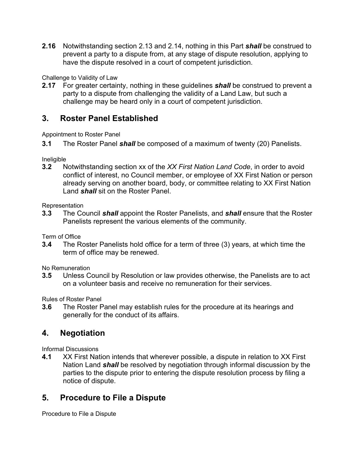**2.16** Notwithstanding section 2.13 and 2.14, nothing in this Part *shall* be construed to prevent a party to a dispute from, at any stage of dispute resolution, applying to have the dispute resolved in a court of competent jurisdiction.

Challenge to Validity of Law

**2.17** For greater certainty, nothing in these guidelines *shall* be construed to prevent a party to a dispute from challenging the validity of a Land Law, but such a challenge may be heard only in a court of competent jurisdiction.

### **3. Roster Panel Established**

Appointment to Roster Panel

**3.1** The Roster Panel *shall* be composed of a maximum of twenty (20) Panelists.

Ineligible

**3.2** Notwithstanding section xx of the *XX First Nation Land Code*, in order to avoid conflict of interest, no Council member, or employee of XX First Nation or person already serving on another board, body, or committee relating to XX First Nation Land *shall* sit on the Roster Panel.

**Representation** 

**3.3** The Council *shall* appoint the Roster Panelists, and *shall* ensure that the Roster Panelists represent the various elements of the community.

Term of Office

**3.4** The Roster Panelists hold office for a term of three (3) years, at which time the term of office may be renewed.

No Remuneration

**3.5** Unless Council by Resolution or law provides otherwise, the Panelists are to act on a volunteer basis and receive no remuneration for their services.

Rules of Roster Panel

**3.6** The Roster Panel may establish rules for the procedure at its hearings and generally for the conduct of its affairs.

### **4. Negotiation**

Informal Discussions

**4.1** XX First Nation intends that wherever possible, a dispute in relation to XX First Nation Land *shall* be resolved by negotiation through informal discussion by the parties to the dispute prior to entering the dispute resolution process by filing a notice of dispute.

### **5. Procedure to File a Dispute**

Procedure to File a Dispute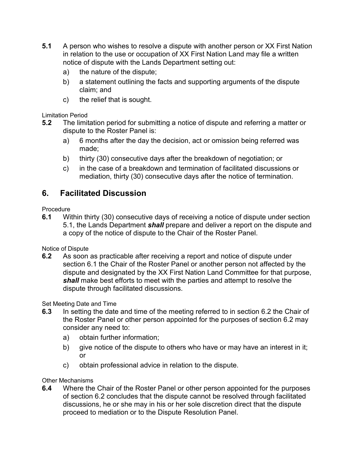- **5.1** A person who wishes to resolve a dispute with another person or XX First Nation in relation to the use or occupation of XX First Nation Land may file a written notice of dispute with the Lands Department setting out:
	- a) the nature of the dispute;
	- b) a statement outlining the facts and supporting arguments of the dispute claim; and
	- c) the relief that is sought.

#### Limitation Period

- **5.2** The limitation period for submitting a notice of dispute and referring a matter or dispute to the Roster Panel is:
	- a) 6 months after the day the decision, act or omission being referred was made;
	- b) thirty (30) consecutive days after the breakdown of negotiation; or
	- c) in the case of a breakdown and termination of facilitated discussions or mediation, thirty (30) consecutive days after the notice of termination.

## **6. Facilitated Discussion**

Procedure

**6.1** Within thirty (30) consecutive days of receiving a notice of dispute under section 5.1, the Lands Department *shall* prepare and deliver a report on the dispute and a copy of the notice of dispute to the Chair of the Roster Panel.

Notice of Dispute

**6.2** As soon as practicable after receiving a report and notice of dispute under section 6.1 the Chair of the Roster Panel or another person not affected by the dispute and designated by the XX First Nation Land Committee for that purpose, *shall* make best efforts to meet with the parties and attempt to resolve the dispute through facilitated discussions.

Set Meeting Date and Time

- **6.3** In setting the date and time of the meeting referred to in section 6.2 the Chair of the Roster Panel or other person appointed for the purposes of section 6.2 may consider any need to:
	- a) obtain further information;
	- b) give notice of the dispute to others who have or may have an interest in it; or
	- c) obtain professional advice in relation to the dispute.

Other Mechanisms

**6.4** Where the Chair of the Roster Panel or other person appointed for the purposes of section 6.2 concludes that the dispute cannot be resolved through facilitated discussions, he or she may in his or her sole discretion direct that the dispute proceed to mediation or to the Dispute Resolution Panel.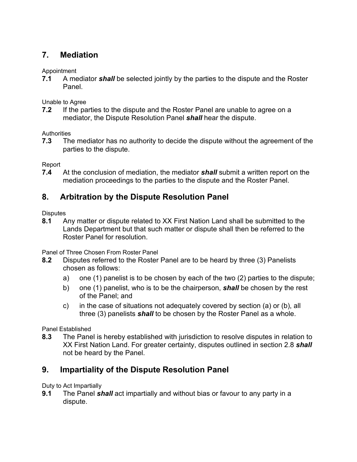# **7. Mediation**

Appointment

**7.1** A mediator *shall* be selected jointly by the parties to the dispute and the Roster Panel.

Unable to Agree

**7.2** If the parties to the dispute and the Roster Panel are unable to agree on a mediator, the Dispute Resolution Panel *shall* hear the dispute.

**Authorities** 

**7.3** The mediator has no authority to decide the dispute without the agreement of the parties to the dispute.

Report

**7.4** At the conclusion of mediation, the mediator *shall* submit a written report on the mediation proceedings to the parties to the dispute and the Roster Panel.

# **8. Arbitration by the Dispute Resolution Panel**

**Disputes** 

**8.1** Any matter or dispute related to XX First Nation Land shall be submitted to the Lands Department but that such matter or dispute shall then be referred to the Roster Panel for resolution.

Panel of Three Chosen From Roster Panel

- **8.2** Disputes referred to the Roster Panel are to be heard by three (3) Panelists chosen as follows:
	- a) one (1) panelist is to be chosen by each of the two (2) parties to the dispute;
	- b) one (1) panelist, who is to be the chairperson, *shall* be chosen by the rest of the Panel; and
	- c) in the case of situations not adequately covered by section (a) or (b), all three (3) panelists *shall* to be chosen by the Roster Panel as a whole.

Panel Established

**8.3** The Panel is hereby established with jurisdiction to resolve disputes in relation to XX First Nation Land. For greater certainty, disputes outlined in section 2.8 *shall* not be heard by the Panel.

# **9. Impartiality of the Dispute Resolution Panel**

Duty to Act Impartially

**9.1** The Panel *shall* act impartially and without bias or favour to any party in a dispute.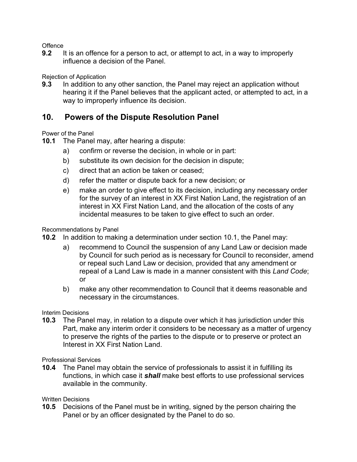**Offence** 

**9.2** It is an offence for a person to act, or attempt to act, in a way to improperly influence a decision of the Panel.

Rejection of Application

**9.3** In addition to any other sanction, the Panel may reject an application without hearing it if the Panel believes that the applicant acted, or attempted to act, in a way to improperly influence its decision.

## **10. Powers of the Dispute Resolution Panel**

Power of the Panel

- **10.1** The Panel may, after hearing a dispute:
	- a) confirm or reverse the decision, in whole or in part:
	- b) substitute its own decision for the decision in dispute;
	- c) direct that an action be taken or ceased;
	- d) refer the matter or dispute back for a new decision; or
	- e) make an order to give effect to its decision, including any necessary order for the survey of an interest in XX First Nation Land, the registration of an interest in XX First Nation Land, and the allocation of the costs of any incidental measures to be taken to give effect to such an order.

#### Recommendations by Panel

- **10.2** In addition to making a determination under section 10.1, the Panel may:
	- a) recommend to Council the suspension of any Land Law or decision made by Council for such period as is necessary for Council to reconsider, amend or repeal such Land Law or decision, provided that any amendment or repeal of a Land Law is made in a manner consistent with this *Land Code*; or
	- b) make any other recommendation to Council that it deems reasonable and necessary in the circumstances.

#### Interim Decisions

**10.3** The Panel may, in relation to a dispute over which it has jurisdiction under this Part, make any interim order it considers to be necessary as a matter of urgency to preserve the rights of the parties to the dispute or to preserve or protect an Interest in XX First Nation Land.

Professional Services

**10.4** The Panel may obtain the service of professionals to assist it in fulfilling its functions, in which case it *shall* make best efforts to use professional services available in the community.

#### Written Decisions

**10.5** Decisions of the Panel must be in writing, signed by the person chairing the Panel or by an officer designated by the Panel to do so.